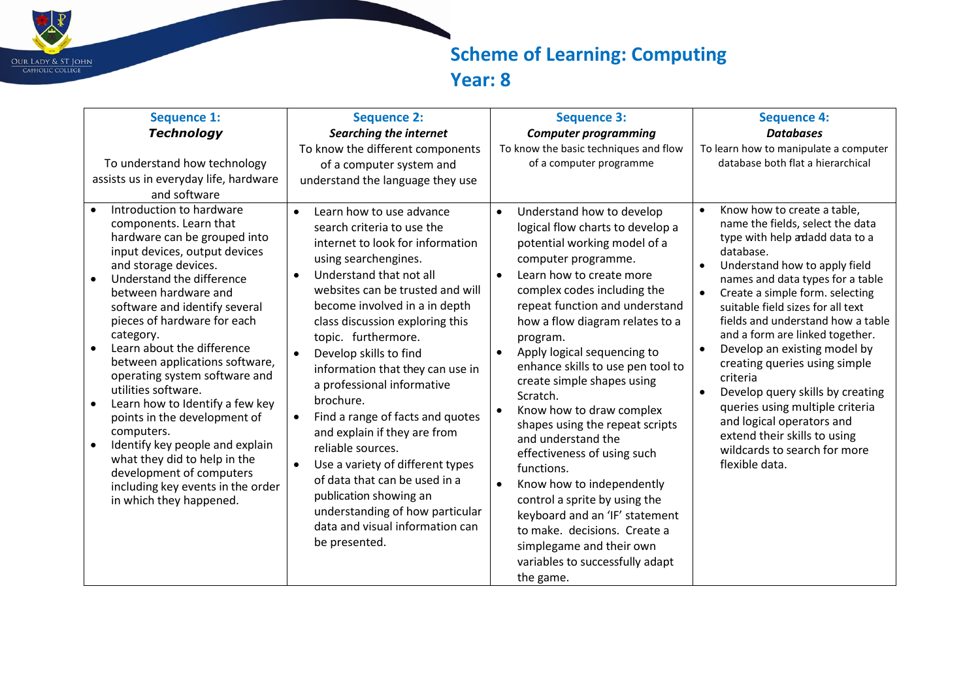

## **Scheme of Learning: Computing Year: 8**

| <b>Sequence 1:</b><br><b>Technology</b><br>To understand how technology<br>assists us in everyday life, hardware<br>and software                                                                                                                                                                                                                                                                                                                                                                                                                                                                                                                                                                          | <b>Sequence 2:</b><br>Searching the internet<br>To know the different components<br>of a computer system and<br>understand the language they use                                                                                                                                                                                                                                                                                                                                                                                                                                                                                                                                               | <b>Sequence 3:</b><br><b>Computer programming</b><br>To know the basic techniques and flow<br>of a computer programme                                                                                                                                                                                                                                                                                                                                                                                                                                                                                                                                                                                                                                                                         | <b>Sequence 4:</b><br><b>Databases</b><br>To learn how to manipulate a computer<br>database both flat a hierarchical                                                                                                                                                                                                                                                                                                                                                                                                                                                                                                             |
|-----------------------------------------------------------------------------------------------------------------------------------------------------------------------------------------------------------------------------------------------------------------------------------------------------------------------------------------------------------------------------------------------------------------------------------------------------------------------------------------------------------------------------------------------------------------------------------------------------------------------------------------------------------------------------------------------------------|------------------------------------------------------------------------------------------------------------------------------------------------------------------------------------------------------------------------------------------------------------------------------------------------------------------------------------------------------------------------------------------------------------------------------------------------------------------------------------------------------------------------------------------------------------------------------------------------------------------------------------------------------------------------------------------------|-----------------------------------------------------------------------------------------------------------------------------------------------------------------------------------------------------------------------------------------------------------------------------------------------------------------------------------------------------------------------------------------------------------------------------------------------------------------------------------------------------------------------------------------------------------------------------------------------------------------------------------------------------------------------------------------------------------------------------------------------------------------------------------------------|----------------------------------------------------------------------------------------------------------------------------------------------------------------------------------------------------------------------------------------------------------------------------------------------------------------------------------------------------------------------------------------------------------------------------------------------------------------------------------------------------------------------------------------------------------------------------------------------------------------------------------|
| Introduction to hardware<br>components. Learn that<br>hardware can be grouped into<br>input devices, output devices<br>and storage devices.<br>Understand the difference<br>$\bullet$<br>between hardware and<br>software and identify several<br>pieces of hardware for each<br>category.<br>Learn about the difference<br>$\bullet$<br>between applications software,<br>operating system software and<br>utilities software.<br>Learn how to Identify a few key<br>$\bullet$<br>points in the development of<br>computers.<br>Identify key people and explain<br>$\bullet$<br>what they did to help in the<br>development of computers<br>including key events in the order<br>in which they happened. | Learn how to use advance<br>$\bullet$<br>search criteria to use the<br>internet to look for information<br>using searchengines.<br>Understand that not all<br>$\bullet$<br>websites can be trusted and will<br>become involved in a in depth<br>class discussion exploring this<br>topic. furthermore.<br>Develop skills to find<br>information that they can use in<br>a professional informative<br>brochure.<br>Find a range of facts and quotes<br>and explain if they are from<br>reliable sources.<br>Use a variety of different types<br>of data that can be used in a<br>publication showing an<br>understanding of how particular<br>data and visual information can<br>be presented. | Understand how to develop<br>$\bullet$<br>logical flow charts to develop a<br>potential working model of a<br>computer programme.<br>Learn how to create more<br>$\bullet$<br>complex codes including the<br>repeat function and understand<br>how a flow diagram relates to a<br>program.<br>Apply logical sequencing to<br>$\bullet$<br>enhance skills to use pen tool to<br>create simple shapes using<br>Scratch.<br>Know how to draw complex<br>$\bullet$<br>shapes using the repeat scripts<br>and understand the<br>effectiveness of using such<br>functions.<br>Know how to independently<br>$\bullet$<br>control a sprite by using the<br>keyboard and an 'IF' statement<br>to make. decisions. Create a<br>simplegame and their own<br>variables to successfully adapt<br>the game. | Know how to create a table,<br>$\bullet$<br>name the fields, select the data<br>type with help adadd data to a<br>database.<br>Understand how to apply field<br>names and data types for a table<br>Create a simple form. selecting<br>$\bullet$<br>suitable field sizes for all text<br>fields and understand how a table<br>and a form are linked together.<br>Develop an existing model by<br>creating queries using simple<br>criteria<br>Develop query skills by creating<br>queries using multiple criteria<br>and logical operators and<br>extend their skills to using<br>wildcards to search for more<br>flexible data. |